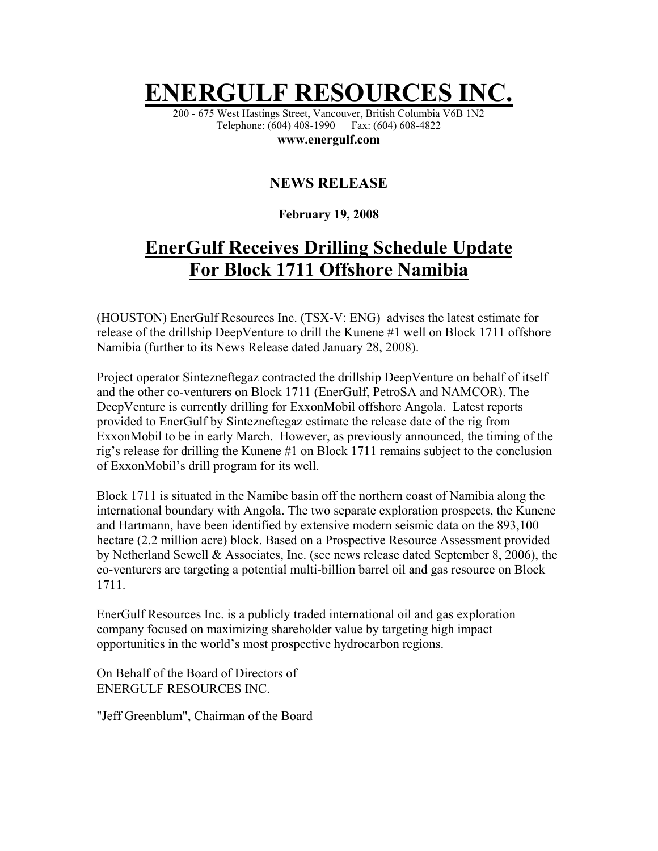## **ENERGULF RESOURCES**

200 - 675 West Hastings Street, Vancouver, British Columbia V6B 1N2 Telephone: (604) 408-1990 Fax: (604) 608-4822

**www.energulf.com** 

## **NEWS RELEASE**

## **February 19, 2008**

## **EnerGulf Receives Drilling Schedule Update For Block 1711 Offshore Namibia**

(HOUSTON) EnerGulf Resources Inc. (TSX-V: ENG) advises the latest estimate for release of the drillship DeepVenture to drill the Kunene #1 well on Block 1711 offshore Namibia (further to its News Release dated January 28, 2008).

Project operator Sintezneftegaz contracted the drillship DeepVenture on behalf of itself and the other co-venturers on Block 1711 (EnerGulf, PetroSA and NAMCOR). The DeepVenture is currently drilling for ExxonMobil offshore Angola. Latest reports provided to EnerGulf by Sintezneftegaz estimate the release date of the rig from ExxonMobil to be in early March. However, as previously announced, the timing of the rig's release for drilling the Kunene #1 on Block 1711 remains subject to the conclusion of ExxonMobil's drill program for its well.

Block 1711 is situated in the Namibe basin off the northern coast of Namibia along the international boundary with Angola. The two separate exploration prospects, the Kunene and Hartmann, have been identified by extensive modern seismic data on the 893,100 hectare (2.2 million acre) block. Based on a Prospective Resource Assessment provided by Netherland Sewell & Associates, Inc. (see news release dated September 8, 2006), the co-venturers are targeting a potential multi-billion barrel oil and gas resource on Block 1711.

EnerGulf Resources Inc. is a publicly traded international oil and gas exploration company focused on maximizing shareholder value by targeting high impact opportunities in the world's most prospective hydrocarbon regions.

On Behalf of the Board of Directors of ENERGULF RESOURCES INC.

"Jeff Greenblum", Chairman of the Board